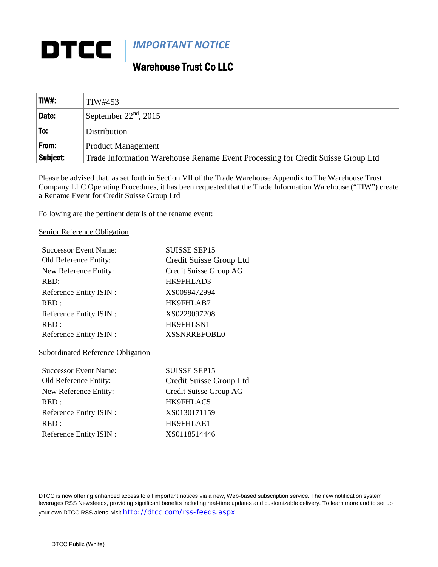## DTCC *IMPORTANT NOTICE*

## Warehouse Trust Co LLC

| TIW#:    | TIW#453                                                                         |
|----------|---------------------------------------------------------------------------------|
| Date:    | September $22nd$ , 2015                                                         |
| To:      | Distribution                                                                    |
| From:    | Product Management                                                              |
| Subject: | Trade Information Warehouse Rename Event Processing for Credit Suisse Group Ltd |

Please be advised that, as set forth in Section VII of the Trade Warehouse Appendix to The Warehouse Trust Company LLC Operating Procedures, it has been requested that the Trade Information Warehouse ("TIW") create a Rename Event for Credit Suisse Group Ltd

Following are the pertinent details of the rename event:

## Senior Reference Obligation

| <b>Successor Event Name:</b> | <b>SUISSE SEP15</b>     |
|------------------------------|-------------------------|
| Old Reference Entity:        | Credit Suisse Group Ltd |
| New Reference Entity:        | Credit Suisse Group AG  |
| RED:                         | HK9FHLAD3               |
| Reference Entity ISIN :      | XS0099472994            |
| RED:                         | HK9FHLAB7               |
| Reference Entity ISIN:       | XS0229097208            |
| RED:                         | HK9FHLSN1               |
| Reference Entity ISIN :      | <b>XSSNRREFOBL0</b>     |

## Subordinated Reference Obligation

| <b>Successor Event Name:</b> | <b>SUISSE SEP15</b>     |
|------------------------------|-------------------------|
| Old Reference Entity:        | Credit Suisse Group Ltd |
| New Reference Entity:        | Credit Suisse Group AG  |
| RED:                         | HK9FHLAC5               |
| Reference Entity ISIN :      | XS0130171159            |
| RED:                         | HK9FHLAE1               |
| Reference Entity ISIN :      | XS0118514446            |
|                              |                         |

DTCC is now offering enhanced access to all important notices via a new, Web-based subscription service. The new notification system leverages RSS Newsfeeds, providing significant benefits including real-time updates and customizable delivery. To learn more and to set up your own DTCC RSS alerts, visit <http://dtcc.com/rss-feeds.aspx>.